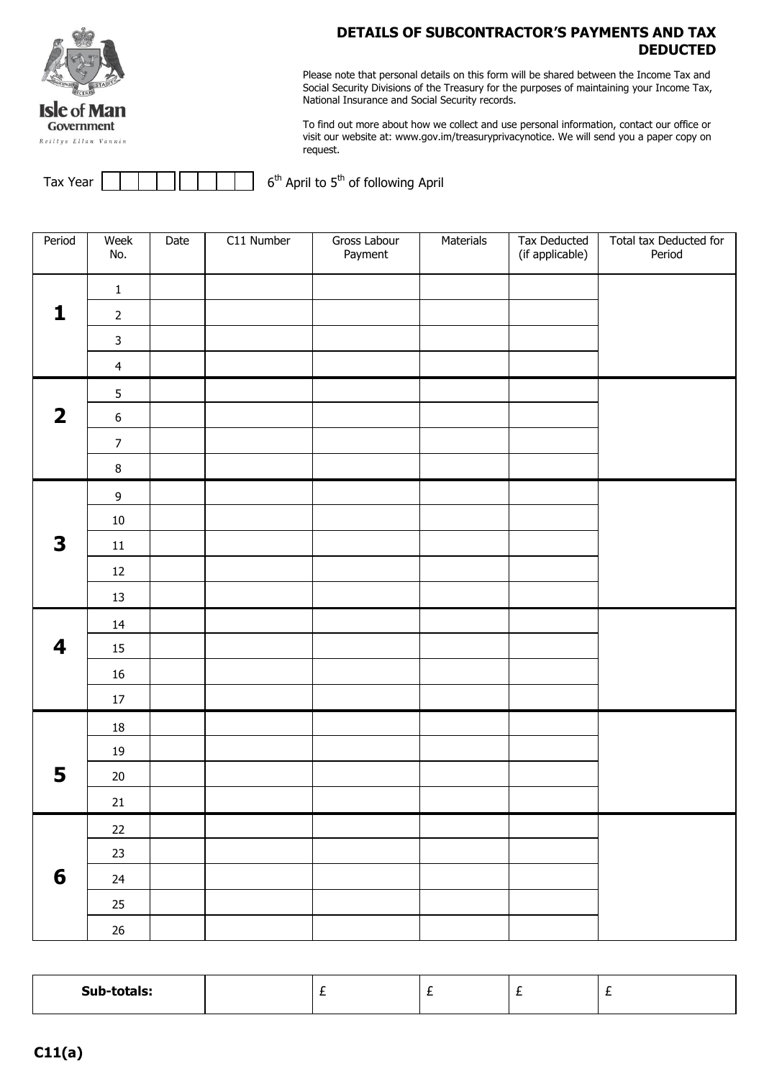

## **DETAILS OF SUBCONTRACTOR'S PAYMENTS AND TAX DEDUCTED**

Please note that personal details on this form will be shared between the Income Tax and Social Security Divisions of the Treasury for the purposes of maintaining your Income Tax, National Insurance and Social Security records.

To find out more about how we collect and use personal information, contact our office or visit our website at: www.gov.im/treasuryprivacynotice. We will send you a paper copy on request.

| Tax Year |  |  | $6th$ April to $5th$ of following April |  |
|----------|--|--|-----------------------------------------|--|
|----------|--|--|-----------------------------------------|--|

| Period                  | Week<br>No.      | Date | C11 Number | Gross Labour<br>Payment | Materials | Tax Deducted<br>(if applicable) | Total tax Deducted for<br>Period |
|-------------------------|------------------|------|------------|-------------------------|-----------|---------------------------------|----------------------------------|
|                         | $\mathbf 1$      |      |            |                         |           |                                 |                                  |
| $\mathbf{1}$            | $\overline{2}$   |      |            |                         |           |                                 |                                  |
|                         | $\mathbf{3}$     |      |            |                         |           |                                 |                                  |
|                         | $\overline{4}$   |      |            |                         |           |                                 |                                  |
|                         | 5                |      |            |                         |           |                                 |                                  |
| $\overline{\mathbf{2}}$ | $\boldsymbol{6}$ |      |            |                         |           |                                 |                                  |
|                         | $\overline{7}$   |      |            |                         |           |                                 |                                  |
|                         | $\bf 8$          |      |            |                         |           |                                 |                                  |
|                         | $\boldsymbol{9}$ |      |            |                         |           |                                 |                                  |
|                         | $10\,$           |      |            |                         |           |                                 |                                  |
| 3                       | $11\,$           |      |            |                         |           |                                 |                                  |
|                         | $12\,$           |      |            |                         |           |                                 |                                  |
|                         | $13\,$           |      |            |                         |           |                                 |                                  |
|                         | 14               |      |            |                         |           |                                 |                                  |
| 4                       | 15               |      |            |                         |           |                                 |                                  |
|                         | $16\,$           |      |            |                         |           |                                 |                                  |
|                         | $17\,$           |      |            |                         |           |                                 |                                  |
|                         | $18\,$           |      |            |                         |           |                                 |                                  |
|                         | 19               |      |            |                         |           |                                 |                                  |
| 5                       | $20\,$           |      |            |                         |           |                                 |                                  |
|                         | 21               |      |            |                         |           |                                 |                                  |
|                         | $22\,$           |      |            |                         |           |                                 |                                  |
|                         | 23               |      |            |                         |           |                                 |                                  |
| $6\phantom{1}6$         | 24               |      |            |                         |           |                                 |                                  |
|                         | $25\,$           |      |            |                         |           |                                 |                                  |
|                         | $26\,$           |      |            |                         |           |                                 |                                  |

| Sub-totals: |  | . . |  |
|-------------|--|-----|--|
|             |  |     |  |